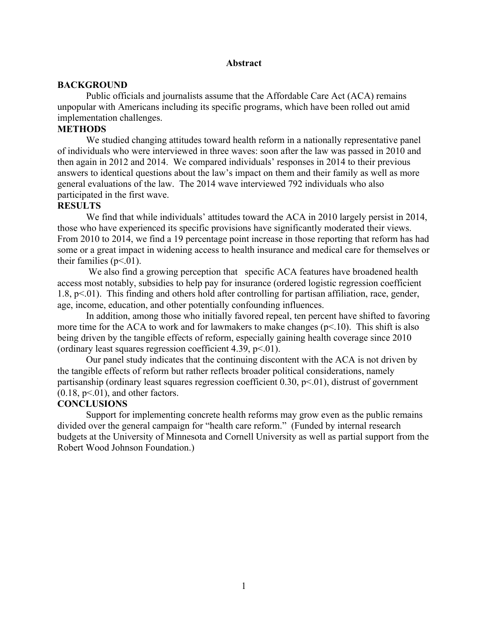## **Abstract**

## **BACKGROUND**

Public officials and journalists assume that the Affordable Care Act (ACA) remains unpopular with Americans including its specific programs, which have been rolled out amid implementation challenges.

## **METHODS**

We studied changing attitudes toward health reform in a nationally representative panel of individuals who were interviewed in three waves: soon after the law was passed in 2010 and then again in 2012 and 2014. We compared individuals' responses in 2014 to their previous answers to identical questions about the law's impact on them and their family as well as more general evaluations of the law. The 2014 wave interviewed 792 individuals who also participated in the first wave.

## **RESULTS**

We find that while individuals' attitudes toward the ACA in 2010 largely persist in 2014, those who have experienced its specific provisions have significantly moderated their views. From 2010 to 2014, we find a 19 percentage point increase in those reporting that reform has had some or a great impact in widening access to health insurance and medical care for themselves or their families  $(p<.01)$ .

We also find a growing perception that specific ACA features have broadened health access most notably, subsidies to help pay for insurance (ordered logistic regression coefficient 1.8,  $p<.01$ ). This finding and others hold after controlling for partisan affiliation, race, gender, age, income, education, and other potentially confounding influences.

In addition, among those who initially favored repeal, ten percent have shifted to favoring more time for the ACA to work and for lawmakers to make changes  $(p<10)$ . This shift is also being driven by the tangible effects of reform, especially gaining health coverage since 2010 (ordinary least squares regression coefficient 4.39,  $p<01$ ).

Our panel study indicates that the continuing discontent with the ACA is not driven by the tangible effects of reform but rather reflects broader political considerations, namely partisanship (ordinary least squares regression coefficient  $0.30$ ,  $p<01$ ), distrust of government  $(0.18, p<0.1)$ , and other factors.

## **CONCLUSIONS**

Support for implementing concrete health reforms may grow even as the public remains divided over the general campaign for "health care reform." (Funded by internal research budgets at the University of Minnesota and Cornell University as well as partial support from the Robert Wood Johnson Foundation.)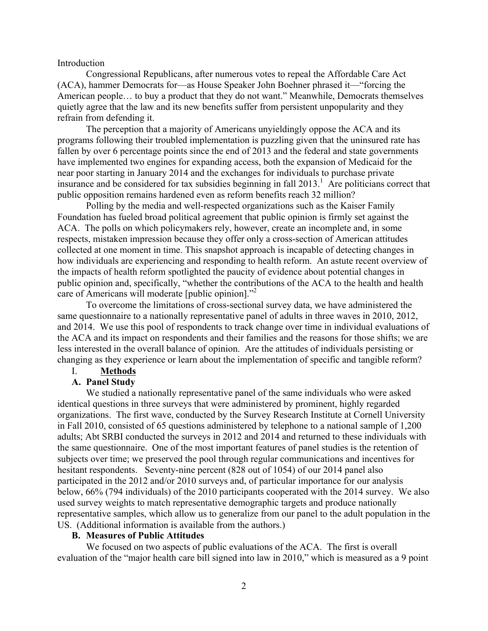#### Introduction

Congressional Republicans, after numerous votes to repeal the Affordable Care Act (ACA), hammer Democrats for—as House Speaker John Boehner phrased it—"forcing the American people… to buy a product that they do not want." Meanwhile, Democrats themselves quietly agree that the law and its new benefits suffer from persistent unpopularity and they refrain from defending it.

The perception that a majority of Americans unyieldingly oppose the ACA and its programs following their troubled implementation is puzzling given that the uninsured rate has fallen by over 6 percentage points since the end of 2013 and the federal and state governments have implemented two engines for expanding access, both the expansion of Medicaid for the near poor starting in January 2014 and the exchanges for individuals to purchase private insurance and be considered for tax subsidies beginning in fall 2013. 1 Are politicians correct that public opposition remains hardened even as reform benefits reach 32 million?

Polling by the media and well-respected organizations such as the Kaiser Family Foundation has fueled broad political agreement that public opinion is firmly set against the ACA. The polls on which policymakers rely, however, create an incomplete and, in some respects, mistaken impression because they offer only a cross-section of American attitudes collected at one moment in time. This snapshot approach is incapable of detecting changes in how individuals are experiencing and responding to health reform. An astute recent overview of the impacts of health reform spotlighted the paucity of evidence about potential changes in public opinion and, specifically, "whether the contributions of the ACA to the health and health care of Americans will moderate [public opinion].<sup>22</sup>

To overcome the limitations of cross-sectional survey data, we have administered the same questionnaire to a nationally representative panel of adults in three waves in 2010, 2012, and 2014. We use this pool of respondents to track change over time in individual evaluations of the ACA and its impact on respondents and their families and the reasons for those shifts; we are less interested in the overall balance of opinion. Are the attitudes of individuals persisting or changing as they experience or learn about the implementation of specific and tangible reform?

# I. **Methods**

## **A. Panel Study**

We studied a nationally representative panel of the same individuals who were asked identical questions in three surveys that were administered by prominent, highly regarded organizations. The first wave, conducted by the Survey Research Institute at Cornell University in Fall 2010, consisted of 65 questions administered by telephone to a national sample of 1,200 adults; Abt SRBI conducted the surveys in 2012 and 2014 and returned to these individuals with the same questionnaire. One of the most important features of panel studies is the retention of subjects over time; we preserved the pool through regular communications and incentives for hesitant respondents. Seventy-nine percent (828 out of 1054) of our 2014 panel also participated in the 2012 and/or 2010 surveys and, of particular importance for our analysis below, 66% (794 individuals) of the 2010 participants cooperated with the 2014 survey. We also used survey weights to match representative demographic targets and produce nationally representative samples, which allow us to generalize from our panel to the adult population in the US. (Additional information is available from the authors.)

### **B. Measures of Public Attitudes**

We focused on two aspects of public evaluations of the ACA. The first is overall evaluation of the "major health care bill signed into law in 2010," which is measured as a 9 point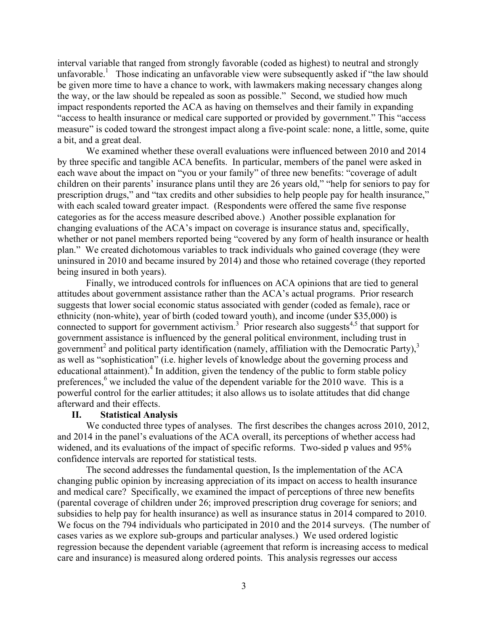interval variable that ranged from strongly favorable (coded as highest) to neutral and strongly unfavorable.<sup>1</sup> Those indicating an unfavorable view were subsequently asked if "the law should be given more time to have a chance to work, with lawmakers making necessary changes along the way, or the law should be repealed as soon as possible." Second, we studied how much impact respondents reported the ACA as having on themselves and their family in expanding "access to health insurance or medical care supported or provided by government." This "access measure" is coded toward the strongest impact along a five-point scale: none, a little, some, quite a bit, and a great deal.

We examined whether these overall evaluations were influenced between 2010 and 2014 by three specific and tangible ACA benefits. In particular, members of the panel were asked in each wave about the impact on "you or your family" of three new benefits: "coverage of adult children on their parents' insurance plans until they are 26 years old," "help for seniors to pay for prescription drugs," and "tax credits and other subsidies to help people pay for health insurance," with each scaled toward greater impact. (Respondents were offered the same five response categories as for the access measure described above.) Another possible explanation for changing evaluations of the ACA's impact on coverage is insurance status and, specifically, whether or not panel members reported being "covered by any form of health insurance or health plan." We created dichotomous variables to track individuals who gained coverage (they were uninsured in 2010 and became insured by 2014) and those who retained coverage (they reported being insured in both years).

Finally, we introduced controls for influences on ACA opinions that are tied to general attitudes about government assistance rather than the ACA's actual programs. Prior research suggests that lower social economic status associated with gender (coded as female), race or ethnicity (non-white), year of birth (coded toward youth), and income (under \$35,000) is connected to support for government activism.<sup>3</sup> Prior research also suggests<sup>4,5</sup> that support for government assistance is influenced by the general political environment, including trust in government<sup>2</sup> and political party identification (namely, affiliation with the Democratic Party),<sup>3</sup> as well as "sophistication" (i.e. higher levels of knowledge about the governing process and educational attainment).<sup>4</sup> In addition, given the tendency of the public to form stable policy preferences, $6 \text{ we included the value of the dependent variable for the 2010 wave. This is a$ powerful control for the earlier attitudes; it also allows us to isolate attitudes that did change afterward and their effects.

## **II. Statistical Analysis**

We conducted three types of analyses. The first describes the changes across 2010, 2012, and 2014 in the panel's evaluations of the ACA overall, its perceptions of whether access had widened, and its evaluations of the impact of specific reforms. Two-sided p values and 95% confidence intervals are reported for statistical tests.

The second addresses the fundamental question, Is the implementation of the ACA changing public opinion by increasing appreciation of its impact on access to health insurance and medical care? Specifically, we examined the impact of perceptions of three new benefits (parental coverage of children under 26; improved prescription drug coverage for seniors; and subsidies to help pay for health insurance) as well as insurance status in 2014 compared to 2010. We focus on the 794 individuals who participated in 2010 and the 2014 surveys. (The number of cases varies as we explore sub-groups and particular analyses.) We used ordered logistic regression because the dependent variable (agreement that reform is increasing access to medical care and insurance) is measured along ordered points. This analysis regresses our access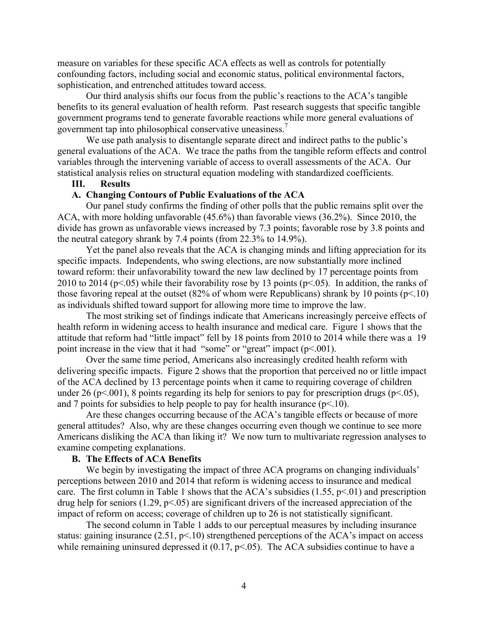measure on variables for these specific ACA effects as well as controls for potentially confounding factors, including social and economic status, political environmental factors, sophistication, and entrenched attitudes toward access.

Our third analysis shifts our focus from the public's reactions to the ACA's tangible benefits to its general evaluation of health reform. Past research suggests that specific tangible government programs tend to generate favorable reactions while more general evaluations of government tap into philosophical conservative uneasiness.<sup>7</sup>

We use path analysis to disentangle separate direct and indirect paths to the public's general evaluations of the ACA. We trace the paths from the tangible reform effects and control variables through the intervening variable of access to overall assessments of the ACA. Our statistical analysis relies on structural equation modeling with standardized coefficients.

## **III. Results**

#### **A. Changing Contours of Public Evaluations of the ACA**

Our panel study confirms the finding of other polls that the public remains split over the ACA, with more holding unfavorable (45.6%) than favorable views (36.2%). Since 2010, the divide has grown as unfavorable views increased by 7.3 points; favorable rose by 3.8 points and the neutral category shrank by 7.4 points (from 22.3% to 14.9%).

Yet the panel also reveals that the ACA is changing minds and lifting appreciation for its specific impacts. Independents, who swing elections, are now substantially more inclined toward reform: their unfavorability toward the new law declined by 17 percentage points from 2010 to 2014 ( $p<05$ ) while their favorability rose by 13 points ( $p<05$ ). In addition, the ranks of those favoring repeal at the outset (82% of whom were Republicans) shrank by 10 points ( $p\leq 10$ ) as individuals shifted toward support for allowing more time to improve the law.

The most striking set of findings indicate that Americans increasingly perceive effects of health reform in widening access to health insurance and medical care. Figure 1 shows that the attitude that reform had "little impact" fell by 18 points from 2010 to 2014 while there was a 19 point increase in the view that it had "some" or "great" impact (p<.001).

Over the same time period, Americans also increasingly credited health reform with delivering specific impacts. Figure 2 shows that the proportion that perceived no or little impact of the ACA declined by 13 percentage points when it came to requiring coverage of children under 26 (p<.001), 8 points regarding its help for seniors to pay for prescription drugs (p<.05), and 7 points for subsidies to help people to pay for health insurance  $(p<10)$ .

Are these changes occurring because of the ACA's tangible effects or because of more general attitudes? Also, why are these changes occurring even though we continue to see more Americans disliking the ACA than liking it? We now turn to multivariate regression analyses to examine competing explanations.

## **B. The Effects of ACA Benefits**

We begin by investigating the impact of three ACA programs on changing individuals' perceptions between 2010 and 2014 that reform is widening access to insurance and medical care. The first column in Table 1 shows that the ACA's subsidies  $(1.55, p<0.01)$  and prescription drug help for seniors  $(1.29, p<0.05)$  are significant drivers of the increased appreciation of the impact of reform on access; coverage of children up to 26 is not statistically significant.

The second column in Table 1 adds to our perceptual measures by including insurance status: gaining insurance (2.51, p<.10) strengthened perceptions of the ACA's impact on access while remaining uninsured depressed it  $(0.17, p<0.05)$ . The ACA subsidies continue to have a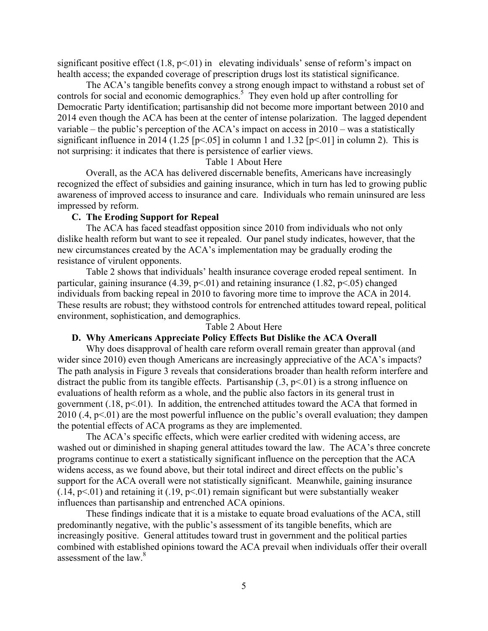significant positive effect  $(1.8, p<0.01)$  in elevating individuals' sense of reform's impact on health access; the expanded coverage of prescription drugs lost its statistical significance.

The ACA's tangible benefits convey a strong enough impact to withstand a robust set of controls for social and economic demographics. 5 They even hold up after controlling for Democratic Party identification; partisanship did not become more important between 2010 and 2014 even though the ACA has been at the center of intense polarization. The lagged dependent variable – the public's perception of the ACA's impact on access in 2010 – was a statistically significant influence in 2014 (1.25 [ $p$ <.05] in column 1 and 1.32 [ $p$ <.01] in column 2). This is not surprising: it indicates that there is persistence of earlier views.

### Table 1 About Here

Overall, as the ACA has delivered discernable benefits, Americans have increasingly recognized the effect of subsidies and gaining insurance, which in turn has led to growing public awareness of improved access to insurance and care. Individuals who remain uninsured are less impressed by reform.

#### **C. The Eroding Support for Repeal**

The ACA has faced steadfast opposition since 2010 from individuals who not only dislike health reform but want to see it repealed. Our panel study indicates, however, that the new circumstances created by the ACA's implementation may be gradually eroding the resistance of virulent opponents.

Table 2 shows that individuals' health insurance coverage eroded repeal sentiment. In particular, gaining insurance  $(4.39, p<01)$  and retaining insurance  $(1.82, p<0.05)$  changed individuals from backing repeal in 2010 to favoring more time to improve the ACA in 2014. These results are robust; they withstood controls for entrenched attitudes toward repeal, political environment, sophistication, and demographics.

#### Table 2 About Here

## **D. Why Americans Appreciate Policy Effects But Dislike the ACA Overall**

Why does disapproval of health care reform overall remain greater than approval (and wider since 2010) even though Americans are increasingly appreciative of the ACA's impacts? The path analysis in Figure 3 reveals that considerations broader than health reform interfere and distract the public from its tangible effects. Partisanship  $(0.3, p<0.01)$  is a strong influence on evaluations of health reform as a whole, and the public also factors in its general trust in government  $(.18, p<01)$ . In addition, the entrenched attitudes toward the ACA that formed in  $2010$  (.4, p<.01) are the most powerful influence on the public's overall evaluation; they dampen the potential effects of ACA programs as they are implemented.

The ACA's specific effects, which were earlier credited with widening access, are washed out or diminished in shaping general attitudes toward the law. The ACA's three concrete programs continue to exert a statistically significant influence on the perception that the ACA widens access, as we found above, but their total indirect and direct effects on the public's support for the ACA overall were not statistically significant. Meanwhile, gaining insurance  $(0.14, p<0.01)$  and retaining it  $(0.19, p<0.01)$  remain significant but were substantially weaker influences than partisanship and entrenched ACA opinions.

These findings indicate that it is a mistake to equate broad evaluations of the ACA, still predominantly negative, with the public's assessment of its tangible benefits, which are increasingly positive. General attitudes toward trust in government and the political parties combined with established opinions toward the ACA prevail when individuals offer their overall assessment of the law.<sup>8</sup>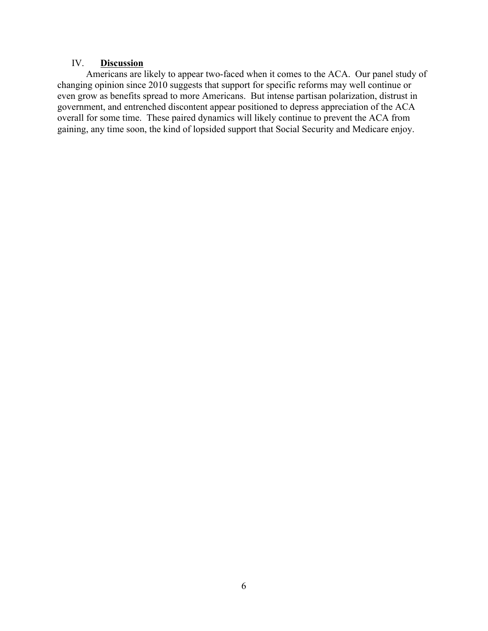## IV. **Discussion**

Americans are likely to appear two-faced when it comes to the ACA. Our panel study of changing opinion since 2010 suggests that support for specific reforms may well continue or even grow as benefits spread to more Americans. But intense partisan polarization, distrust in government, and entrenched discontent appear positioned to depress appreciation of the ACA overall for some time. These paired dynamics will likely continue to prevent the ACA from gaining, any time soon, the kind of lopsided support that Social Security and Medicare enjoy.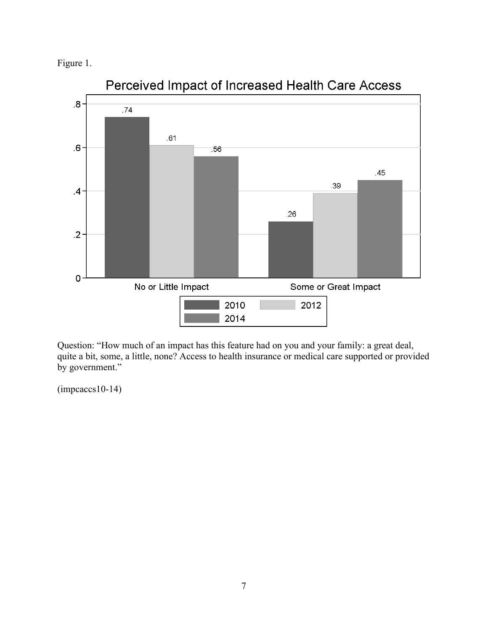



Perceived Impact of Increased Health Care Access

Question: "How much of an impact has this feature had on you and your family: a great deal, quite a bit, some, a little, none? Access to health insurance or medical care supported or provided by government."

 $(impcaces10-14)$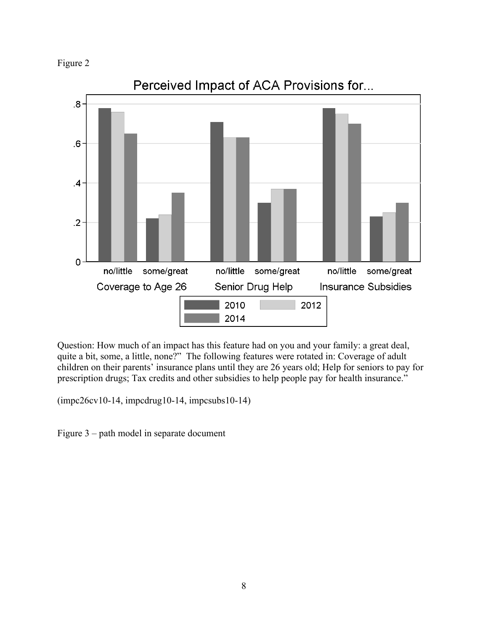



Question: How much of an impact has this feature had on you and your family: a great deal, quite a bit, some, a little, none?" The following features were rotated in: Coverage of adult children on their parents' insurance plans until they are 26 years old; Help for seniors to pay for prescription drugs; Tax credits and other subsidies to help people pay for health insurance."

(impc26cv10-14, impcdrug10-14, impcsubs10-14)

Figure 3 – path model in separate document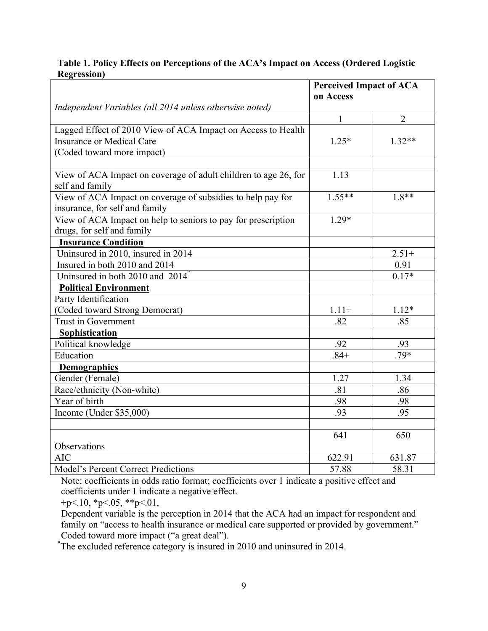## **Table 1. Policy Effects on Perceptions of the ACA's Impact on Access (Ordered Logistic Regression)**

|                                                                 | <b>Perceived Impact of ACA</b> |                |
|-----------------------------------------------------------------|--------------------------------|----------------|
|                                                                 | on Access                      |                |
| Independent Variables (all 2014 unless otherwise noted)         |                                |                |
|                                                                 | 1                              | $\overline{2}$ |
| Lagged Effect of 2010 View of ACA Impact on Access to Health    |                                |                |
| <b>Insurance or Medical Care</b>                                | $1.25*$                        | $1.32**$       |
| (Coded toward more impact)                                      |                                |                |
|                                                                 |                                |                |
| View of ACA Impact on coverage of adult children to age 26, for | 1.13                           |                |
| self and family                                                 |                                |                |
| View of ACA Impact on coverage of subsidies to help pay for     | $1.55**$                       | $1.8**$        |
| insurance, for self and family                                  |                                |                |
| View of ACA Impact on help to seniors to pay for prescription   | $1.29*$                        |                |
| drugs, for self and family                                      |                                |                |
| <b>Insurance Condition</b>                                      |                                |                |
| Uninsured in 2010, insured in 2014                              |                                | $2.51+$        |
| Insured in both 2010 and 2014                                   |                                | 0.91           |
| Uninsured in both 2010 and 2014 <sup>*</sup>                    |                                | $0.17*$        |
| <b>Political Environment</b>                                    |                                |                |
| Party Identification                                            |                                |                |
| (Coded toward Strong Democrat)                                  | $1.11+$                        | $1.12*$        |
| <b>Trust in Government</b>                                      | .82                            | .85            |
| Sophistication                                                  |                                |                |
| Political knowledge                                             | .92                            | .93            |
| Education                                                       | $.84+$                         | .79*           |
| <b>Demographics</b>                                             |                                |                |
| Gender (Female)                                                 | 1.27                           | 1.34           |
| Race/ethnicity (Non-white)                                      | .81                            | .86            |
| Year of birth                                                   | .98                            | .98            |
| Income (Under $$35,000$ )                                       | .93                            | .95            |
|                                                                 |                                |                |
|                                                                 | 641                            | 650            |
| Observations                                                    |                                |                |
| <b>AIC</b>                                                      | 622.91                         | 631.87         |
| <b>Model's Percent Correct Predictions</b>                      | 57.88                          | 58.31          |

Note: coefficients in odds ratio format; coefficients over 1 indicate a positive effect and coefficients under 1 indicate a negative effect.

+p $< 10$ , \*p $< 05$ , \*\*p $< 01$ ,

Dependent variable is the perception in 2014 that the ACA had an impact for respondent and family on "access to health insurance or medical care supported or provided by government." Coded toward more impact ("a great deal").

<sup>\*</sup>The excluded reference category is insured in 2010 and uninsured in 2014.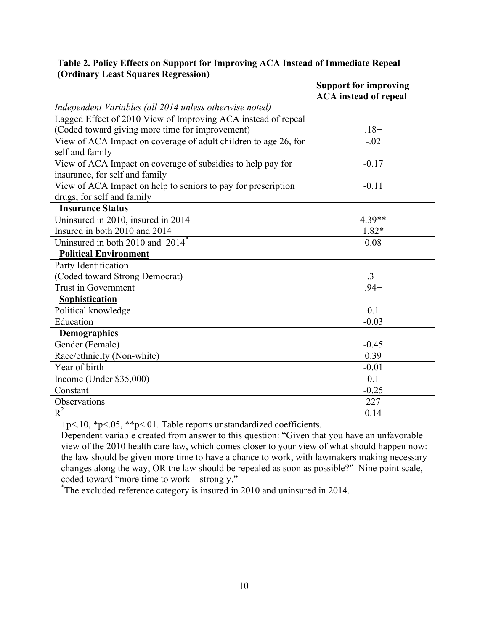|                                                                                               | <b>Support for improving</b><br><b>ACA</b> instead of repeal |  |
|-----------------------------------------------------------------------------------------------|--------------------------------------------------------------|--|
| Independent Variables (all 2014 unless otherwise noted)                                       |                                                              |  |
| Lagged Effect of 2010 View of Improving ACA instead of repeal                                 |                                                              |  |
| (Coded toward giving more time for improvement)                                               | $.18+$                                                       |  |
| View of ACA Impact on coverage of adult children to age 26, for<br>self and family            | $-.02$                                                       |  |
| View of ACA Impact on coverage of subsidies to help pay for<br>insurance, for self and family | $-0.17$                                                      |  |
| View of ACA Impact on help to seniors to pay for prescription<br>drugs, for self and family   | $-0.11$                                                      |  |
| <b>Insurance Status</b>                                                                       |                                                              |  |
| Uninsured in 2010, insured in 2014                                                            | 4.39**                                                       |  |
| Insured in both 2010 and 2014                                                                 | $1.82*$                                                      |  |
| Uninsured in both 2010 and 2014 <sup>*</sup>                                                  | 0.08                                                         |  |
| <b>Political Environment</b>                                                                  |                                                              |  |
| Party Identification                                                                          |                                                              |  |
| (Coded toward Strong Democrat)                                                                | $.3+$                                                        |  |
| <b>Trust in Government</b>                                                                    | $.94+$                                                       |  |
| <b>Sophistication</b>                                                                         |                                                              |  |
| Political knowledge                                                                           | 0.1                                                          |  |
| Education                                                                                     | $-0.03$                                                      |  |
| <b>Demographics</b>                                                                           |                                                              |  |
| Gender (Female)                                                                               | $-0.45$                                                      |  |
| Race/ethnicity (Non-white)                                                                    | 0.39                                                         |  |
| Year of birth                                                                                 | $-0.01$                                                      |  |
| Income (Under \$35,000)                                                                       | 0.1                                                          |  |
| Constant                                                                                      | $-0.25$                                                      |  |
| Observations                                                                                  | 227                                                          |  |
| $R^2$                                                                                         | 0.14                                                         |  |

## **Table 2. Policy Effects on Support for Improving ACA Instead of Immediate Repeal (Ordinary Least Squares Regression)**

+p<.10, \*p<.05, \*\*p<.01. Table reports unstandardized coefficients.

Dependent variable created from answer to this question: "Given that you have an unfavorable view of the 2010 health care law, which comes closer to your view of what should happen now: the law should be given more time to have a chance to work, with lawmakers making necessary changes along the way, OR the law should be repealed as soon as possible?" Nine point scale, coded toward "more time to work—strongly."

The excluded reference category is insured in 2010 and uninsured in 2014.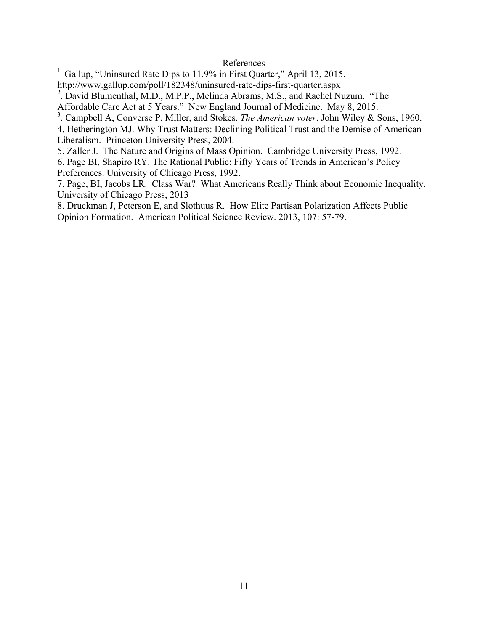### References

<sup>1.</sup> Gallup, "Uninsured Rate Dips to 11.9% in First Quarter," April 13, 2015.

http://www.gallup.com/poll/182348/uninsured-rate-dips-first-quarter.aspx

<sup>2</sup>. David Blumenthal, M.D., M.P.P., Melinda Abrams, M.S., and Rachel Nuzum. "The Affordable Care Act at 5 Years." New England Journal of Medicine. May 8, 2015.

3 . Campbell A, Converse P, Miller, and Stokes. *The American voter*. John Wiley & Sons, 1960.

4. Hetherington MJ. Why Trust Matters: Declining Political Trust and the Demise of American Liberalism. Princeton University Press, 2004.

5. Zaller J. The Nature and Origins of Mass Opinion. Cambridge University Press, 1992.

6. Page BI, Shapiro RY. The Rational Public: Fifty Years of Trends in American's Policy Preferences. University of Chicago Press, 1992.

7. Page, BI, Jacobs LR. Class War? What Americans Really Think about Economic Inequality. University of Chicago Press, 2013

8. Druckman J, Peterson E, and Slothuus R. How Elite Partisan Polarization Affects Public Opinion Formation. American Political Science Review. 2013, 107: 57-79.